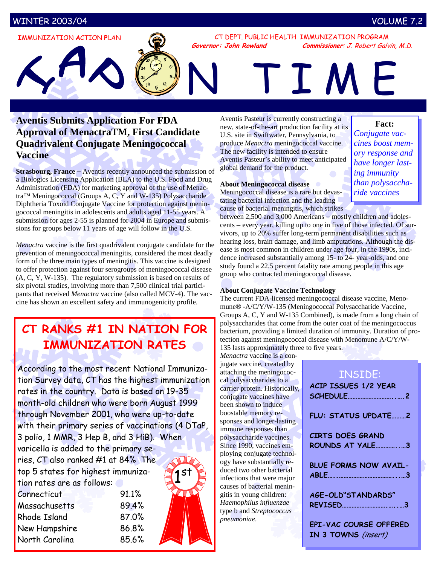# WINTER 2003/04 VOLUME 7.2

**I**MMUNIZATION **A**CTION **P**LAN

CT DEPT. PUBLIC HEALTH IMMUNIZATION PROGRAM **Governor: John Rowland Commissioner**: J. Robert Galvin, M.D.

# N TIME

# **Aventis Submits Application For FDA Approval of MenactraTM, First Candidate Quadrivalent Conjugate Meningococcal Vaccine**

**Strasbourg, France** – Aventis recently announced the submission of a Biologics Licensing Application (BLA) to the U.S. Food and Drug Administration (FDA) for marketing approval of the use of Menactra™ Meningococcal (Groups A, C, Y and W-135) Polysaccharide Diphtheria Toxoid Conjugate Vaccine for protection against meningococcal meningitis in adolescents and adults aged 11-55 years. A submission for ages 2-55 is planned for 2004 in Europe and submissions for groups below 11 years of age will follow in the U.S.

*Menactra* vaccine is the first quadrivalent conjugate candidate for the prevention of meningococcal meningitis, considered the most deadly form of the three main types of meningitis. This vaccine is designed to offer protection against four serogroups of meningococcal disease (A, C, Y, W-135). The regulatory submission is based on results of six pivotal studies, involving more than 7,500 clinical trial participants that received *Menactra* vaccine (also called MCV-4). The vaccine has shown an excellent safety and immunogenicity profile.

# **CT RANKS #1 IN NATION FOR IMMUNIZATION RATES**

According to the most recent National Immunization Survey data, CT has the highest immunization rates in the country. Data is based on 19-35 month-old children who were born August 1999 through November 2001, who were up-to-date with their primary series of vaccinations (4 DTaP, 3 polio, 1 MMR, 3 Hep B, and 3 HiB). When varicella is added to the primary series, CT also ranked #1 at 84% The top 5 states for highest immuniza-1 st

| tion rates are as follows: |       |
|----------------------------|-------|
| Connecticut                | 91.1% |
| Massachusetts              | 89.4% |
| <b>Rhode Island</b>        | 87.0% |
| New Hampshire              | 86.8% |
| North Carolina             | 85.6% |

Aventis Pasteur is currently constructing a new, state-of-the-art production facility at its U.S. site in Swiftwater, Pennsylvania, to produce *Menactra* meningococcal vaccine. The new facility is intended to ensure Aventis Pasteur's ability to meet anticipated global demand for the product.

## **About Meningococcal disease**

Meningococcal disease is a rare but devastating bacterial infection and the leading cause of bacterial meningitis, which strikes

between 2,500 and 3,000 Americans – mostly children and adolescents – every year, killing up to one in five of those infected. Of survivors, up to 20% suffer long-term permanent disabilities such as hearing loss, brain damage, and limb amputations. Although the disease is most common in children under age four, in the 1990s, incidence increased substantially among 15- to 24- year-olds, and one study found a 22.5 percent fatality rate among people in this age group who contracted meningococcal disease.

### **About Conjugate Vaccine Technology**

The current FDA-licensed meningococcal disease vaccine, Menomune® -A/C/Y/W-135 (Meningococcal Polysaccharide Vaccine, Groups A, C, Y and W-135 Combined), is made from a long chain of polysaccharides that come from the outer coat of the meningococcus bacterium, providing a limited duration of immunity. Duration of protection against meningococcal disease with Menomune A/C/Y/W-135 lasts approximately three to five years.

*Menactra* vaccine is a conjugate vaccine, created by attaching the meningococcal polysaccharides to a carrier protein. Historically, conjugate vaccines have been shown to induce boostable memory responses and longer-lasting immune responses than polysaccharide vaccines. Since 1990, vaccines employing conjugate technology have substantially reduced two other bacterial infections that were major causes of bacterial meningitis in young children: *Haemophilus influenzae* type b and *Streptococcus pneumoniae*.

# INSIDE:

| <b>ACIP ISSUES 1/2 YEAR</b>                   |
|-----------------------------------------------|
| FLU: STATUS UPDATE2                           |
| <b>CIRTS DOES GRAND</b><br>ROUNDS AT YALE3    |
| <b>BLUE FORMS NOW AVAIL-</b>                  |
| AGE-OLD"STANDARDS"                            |
| EPI-VAC COURSE OFFERED<br>IN 3 TOWNS (insert) |

# **Fact:**

*Conjugate vaccines boost memory response and have longer lasting immunity than polysaccharide vaccines*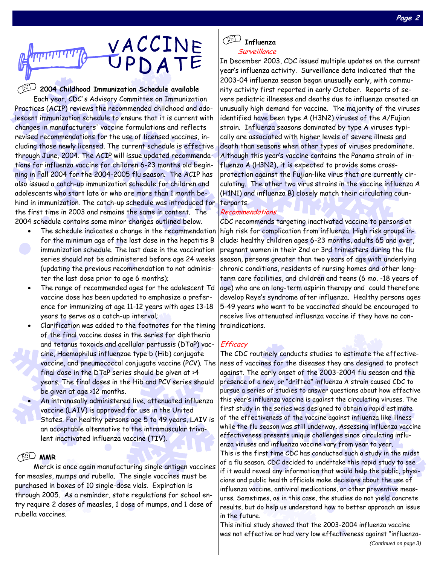

**2004 Childhood Immunization Schedule available** 

Each year, CDC's Advisory Committee on Immunization Practices (ACIP) reviews the recommended childhood and adolescent immunization schedule to ensure that it is current with changes in manufacturers' vaccine formulations and reflects revised recommendations for the use of licensed vaccines, including those newly licensed. The current schedule is effective through June, 2004. The ACIP will issue updated recommendations for influenza vaccine for children 6-23 months old beginning in Fall 2004 for the 2004-2005 flu season. The ACIP has also issued a catch-up immunization schedule for children and adolescents who start late or who are more than 1 month behind in immunization. The catch-up schedule was introduced for the first time in 2003 and remains the same in content. The 2004 schedule contains some minor changes outlined below.

- The schedule indicates a change in the recommendation for the minimum age of the last dose in the hepatitis B immunization schedule. The last dose in the vaccination series should not be administered before age 24 weeks (updating the previous recommendation to not administer the last dose prior to age 6 months);
- The range of recommended ages for the adolescent Td vaccine dose has been updated to emphasize a preference for immunizing at age 11-12 years with ages 13-18 years to serve as a catch-up interval;
- Clarification was added to the footnotes for the timing of the final vaccine doses in the series for diphtheria and tetanus toxoids and acellular pertussis (DTaP) vaccine, Haemophilus influenzae type b (Hib) conjugate vaccine, and pneumococcal conjugate vaccine (PCV). The final dose in the DTaP series should be given at >4 years. The final doses in the Hib and PCV series should be given at age >12 months.
- An intranasally administered live, attenuated influenza vaccine (LAIV) is approved for use in the United States. For healthy persons age 5 to 49 years, LAIV is an acceptable alternative to the intramuscular trivalent inactivated influenza vaccine (TIV).

## **MMR**

Merck is once again manufacturing single antigen vaccines for measles, mumps and rubella. The single vaccines must be purchased in boxes of 10 single-dose vials. Expiration is through 2005. As a reminder, state regulations for school entry require 2 doses of measles, 1 dose of mumps, and 1 dose of rubella vaccines.



Surveillance

In December 2003, CDC issued multiple updates on the current year's influenza activity. Surveillance data indicated that the 2003-04 influenza season began unusually early, with community activity first reported in early October. Reports of severe pediatric illnesses and deaths due to influenza created an unusually high demand for vaccine. The majority of the viruses identified have been type A (H3N2) viruses of the A/Fujian strain. Influenza seasons dominated by type A viruses typically are associated with higher levels of severe illness and death than seasons when other types of viruses predominate. Although this year's vaccine contains the Panama strain of influenza A (H3N2), it is expected to provide some crossprotection against the Fujian-like virus that are currently circulating. The other two virus strains in the vaccine influenza A (H1N1) and influenza B) closely match their circulating counterparts.

### Recommendations

CDC recommends targeting inactivated vaccine to persons at high risk for complication from influenza. High risk groups include: healthy children ages 6-23 months, adults 65 and over, pregnant women in their 2nd or 3rd trimesters during the flu season, persons greater than two years of age with underlying chronic conditions, residents of nursing homes and other longterm care facilities, and children and teens (6 mo. -18 years of age) who are on long-term aspirin therapy and could therefore develop Reye's syndrome after influenza. Healthy persons ages 5-49 years who want to be vaccinated should be encouraged to receive live attenuated influenza vaccine if they have no contraindications.

### **Efficacy**

The CDC routinely conducts studies to estimate the effectiveness of vaccines for the diseases they are designed to protect against. The early onset of the 2003-2004 flu season and the presence of a new, or "drifted" influenza A strain caused CDC to pursue a series of studies to answer questions about how effective this year's influenza vaccine is against the circulating viruses. The first study in the series was designed to obtain a rapid estimate of the effectiveness of the vaccine against influenza like illness while the flu season was still underway. Assessing influenza vaccine effectiveness presents unique challenges since circulating influenza viruses and influenza vaccine vary from year to year. This is the first time CDC has conducted such a study in the midst of a flu season. CDC decided to undertake this rapid study to see if it would reveal any information that would help the public, physicians and public health officials make decisions about the use of influenza vaccine, antiviral medications, or other preventive measures. Sometimes, as in this case, the studies do not yield concrete results, but do help us understand how to better approach an issue in the future.

This initial study showed that the 2003-2004 influenza vaccine was not effective or had very low effectiveness against "influenza-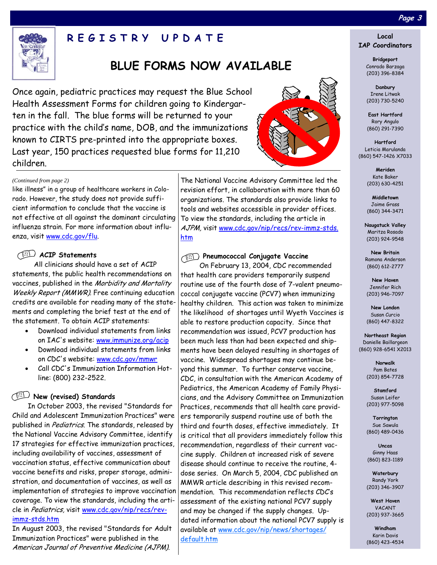

# **REGISTRY UPDATE**

# **BLUE FORMS NOW AVAILABLE**

Once again, pediatric practices may request the Blue School Health Assessment Forms for children going to Kindergarten in the fall. The blue forms will be returned to your practice with the child's name, DOB, and the immunizations known to CIRTS pre-printed into the appropriate boxes. Last year, 150 practices requested blue forms for 11,210 children.



#### *(Continued from page 2)*

like illness" in a group of healthcare workers in Colorado. However, the study does not provide sufficient information to conclude that the vaccine is not effective at all against the dominant circulating influenza strain. For more information about influenza, visit www.cdc.gov/flu.

## **ACIP Statements**

All clinicians should have a set of ACIP statements, the public health recommendations on vaccines, published in the Morbidity and Mortality Weekly Report (MMWR). Free continuing education credits are available for reading many of the statements and completing the brief test at the end of the statement. To obtain ACIP statements:

- Download individual statements from links on IAC's website: www.immunize.org/acip
- Download individual statements from links on CDC's website: www.cdc.gov/mmwr
- Call CDC's Immunization Information Hotline: (800) 232-2522.

## **New (revised) Standards**

In October 2003, the revised "Standards for Child and Adolescent Immunization Practices" were published in Pediatrics. The standards, released by the National Vaccine Advisory Committee, identify 17 strategies for effective immunization practices, including availability of vaccines, assessment of vaccination status, effective communication about vaccine benefits and risks, proper storage, administration, and documentation of vaccines, as well as implementation of strategies to improve vaccination coverage. To view the standards, including the article in Pediatrics, visit www.cdc.gov/nip/recs/revimmz-stds.htm

In August 2003, the revised "Standards for Adult Immunization Practices" were published in the American Journal of Preventive Medicine (AJPM).

The National Vaccine Advisory Committee led the revision effort, in collaboration with more than 60 organizations. The standards also provide links to tools and websites accessible in provider offices. To view the standards, including the article in AJPM, visit www.cdc.gov/nip/recs/rev-immz-stds. htm

#### **Pneumococcal Conjugate Vaccine**

On February 13, 2004, CDC recommended that health care providers temporarily suspend routine use of the fourth dose of 7-valent pneumococcal conjugate vaccine (PCV7) when immunizing healthy children. This action was taken to minimize the likelihood of shortages until Wyeth Vaccines is able to restore production capacity. Since that recommendation was issued, PCV7 production has been much less than had been expected and shipments have been delayed resulting in shortages of vaccine. Widespread shortages may continue beyond this summer. To further conserve vaccine, CDC, in consultation with the American Academy of Pediatrics, the American Academy of Family Physicians, and the Advisory Committee on Immunization Practices, recommends that all health care providers temporarily suspend routine use of both the third and fourth doses, effective immediately. It is critical that all providers immediately follow this recommendation, regardless of their current vaccine supply. Children at increased risk of severe disease should continue to receive the routine, 4 dose series. On March 5, 2004, CDC published an MMWR article describing in this revised recommendation. This recommendation reflects CDC's assessment of the existing national PCV7 supply and may be changed if the supply changes. Updated information about the national PCV7 supply is available at www.cdc.gov/nip/news/shortages/ default.htm

# **Page 3**

#### **Local IAP Coordinators**

**Bridgeport**  Conrado Barzaga (203) 396-8384

**Danbury**  Irene Litwak (203) 730-5240

**East Hartford**  Rory Angulo (860) 291-7390

**Hartford**  Leticia Marulanda (860) 547-1426 X7033

> **Meriden**  Kate Baker (203) 630-4251

> **Middletown**  Jaime Grass (860) 344-3471

**Naugatuck Valley**  Maritza Rosado (203) 924-9548

**New Britain**  Ramona Anderson (860) 612-2777

**New Haven**  Jennifer Rich (203) 946-7097

**New London**  Susan Curcio (860) 447-8322

**Northeast Region**  Danielle Baillargeon (860) 928-6541 X2013

> **Norwalk**  Pam Bates (203) 854-7728

**Stamford**  Susan Leifer (203) 977-5098

**Torrington**  Sue Sawula (860) 489-0436

**Uncas**  Ginny Haas (860) 823-1189

**Waterbury**  Randy York (203) 346-3907

**West Haven**  VACANT (203) 937-3665

**Windham**  Karin Davis (860) 423-4534